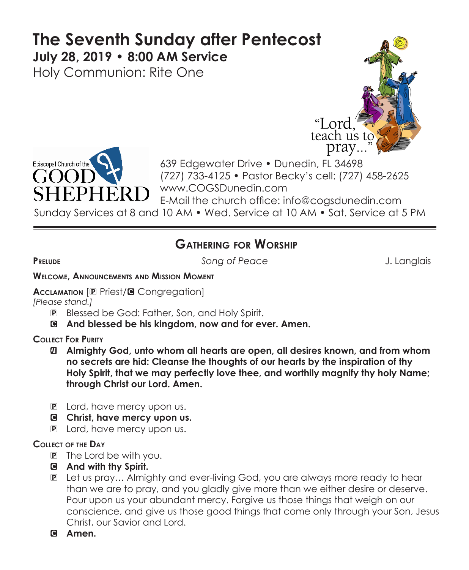# **The Seventh Sunday after Pentecost July 28, 2019 • 8:00 AM Service**

Holy Communion: Rite One





639 Edgewater Drive • Dunedin, FL 34698 (727) 733-4125 • Pastor Becky's cell: (727) 458-2625 www.COGSDunedin.com E-Mail the church office: info@cogsdunedin.com

Sunday Services at 8 and 10 AM • Wed. Service at 10 AM • Sat. Service at 5 PM

## **Gathering for Worship**

**Prelude** *Song of Peace* J. Langlais

## **Welcome, Announcements and Mission Moment**

**Acclamation** [P Priest/**G** Congregation]

*[Please stand.]* 

- P Blessed be God: Father, Son, and Holy Spirit.
- C **And blessed be his kingdom, now and for ever. Amen.**

**Collect For Purity**

- a **Almighty God, unto whom all hearts are open, all desires known, and from whom no secrets are hid: Cleanse the thoughts of our hearts by the inspiration of thy Holy Spirit, that we may perfectly love thee, and worthily magnify thy holy Name; through Christ our Lord. Amen.**
- **P** Lord, have mercy upon us.
- C **Christ, have mercy upon us.**
- P Lord, have mercy upon us.

## **Collect of the Day**

- P The Lord be with you.
- C **And with thy Spirit.**
- P Let us pray… Almighty and ever-living God, you are always more ready to hear than we are to pray, and you gladly give more than we either desire or deserve. Pour upon us your abundant mercy. Forgive us those things that weigh on our conscience, and give us those good things that come only through your Son, Jesus Christ, our Savior and Lord.
- C **Amen.**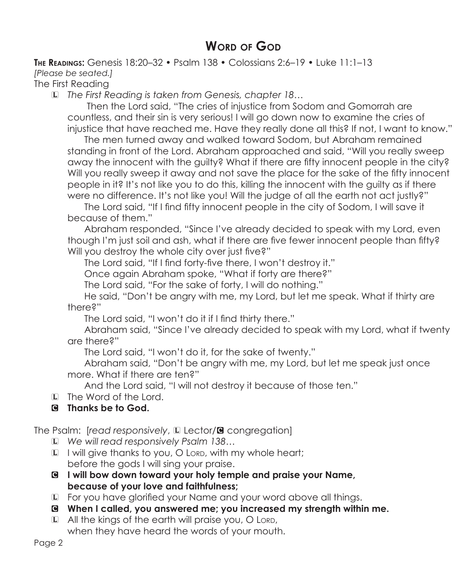## **WORD OF GOD**

**The Readings:** Genesis 18:20–32 • Psalm 138 • Colossians 2:6–19 • Luke 11:1–13 *[Please be seated.]*

The First Reading

L *The First Reading is taken from Genesis, chapter 18…*

 Then the Lord said, "The cries of injustice from Sodom and Gomorrah are countless, and their sin is very serious! I will go down now to examine the cries of injustice that have reached me. Have they really done all this? If not, I want to know."

 The men turned away and walked toward Sodom, but Abraham remained standing in front of the Lord. Abraham approached and said, "Will you really sweep away the innocent with the guilty? What if there are fifty innocent people in the city? Will you really sweep it away and not save the place for the sake of the fifty innocent people in it? It's not like you to do this, killing the innocent with the guilty as if there were no difference. It's not like you! Will the judge of all the earth not act justly?"

The Lord said, "If I find fifty innocent people in the city of Sodom, I will save it because of them."

 Abraham responded, "Since I've already decided to speak with my Lord, even though I'm just soil and ash, what if there are five fewer innocent people than fifty? Will you destroy the whole city over just five?"

The Lord said, "If I find forty-five there, I won't destroy it."

Once again Abraham spoke, "What if forty are there?"

The Lord said, "For the sake of forty, I will do nothing."

 He said, "Don't be angry with me, my Lord, but let me speak. What if thirty are there?"

The Lord said, "I won't do it if I find thirty there."

 Abraham said, "Since I've already decided to speak with my Lord, what if twenty are there?"

The Lord said, "I won't do it, for the sake of twenty."

 Abraham said, "Don't be angry with me, my Lord, but let me speak just once more. What if there are ten?"

And the Lord said, "I will not destroy it because of those ten."

- L The Word of the Lord.
- C **Thanks be to God.**

The Psalm: [*read responsively*, La Lector/<sup>3</sup> congregation]

- L *We will read responsively Psalm 138…*
- $\Box$  I will give thanks to you, O Lord, with my whole heart; before the gods I will sing your praise.
- C **I will bow down toward your holy temple and praise your Name, because of your love and faithfulness;**
- L For you have glorified your Name and your word above all things.
- C **When I called, you answered me; you increased my strength within me.**
- $L$  All the kings of the earth will praise you, O Lord, when they have heard the words of your mouth.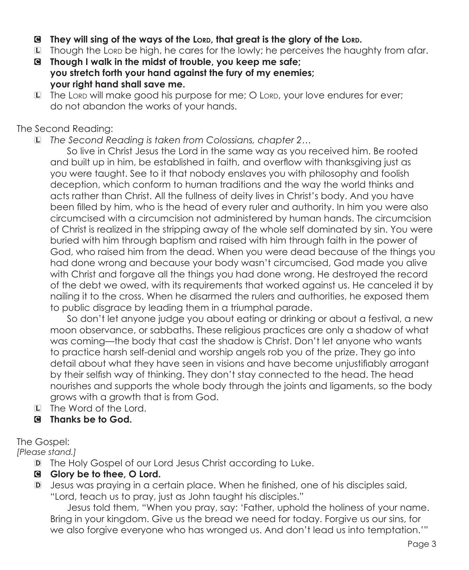- C **They will sing of the ways of the Lord, that great is the glory of the Lord.**
- L Though the Lord be high, he cares for the lowly; he perceives the haughty from afar.
- C **Though I walk in the midst of trouble, you keep me safe; you stretch forth your hand against the fury of my enemies; your right hand shall save me.**
- L The Lord will make good his purpose for me; O Lord, your love endures for ever; do not abandon the works of your hands.

## The Second Reading:

L *The Second Reading is taken from Colossians, chapter 2…*

 So live in Christ Jesus the Lord in the same way as you received him. Be rooted and built up in him, be established in faith, and overflow with thanksgiving just as you were taught. See to it that nobody enslaves you with philosophy and foolish deception, which conform to human traditions and the way the world thinks and acts rather than Christ. All the fullness of deity lives in Christ's body. And you have been filled by him, who is the head of every ruler and authority. In him you were also circumcised with a circumcision not administered by human hands. The circumcision of Christ is realized in the stripping away of the whole self dominated by sin. You were buried with him through baptism and raised with him through faith in the power of God, who raised him from the dead. When you were dead because of the things you had done wrong and because your body wasn't circumcised, God made you alive with Christ and forgave all the things you had done wrong. He destroyed the record of the debt we owed, with its requirements that worked against us. He canceled it by nailing it to the cross. When he disarmed the rulers and authorities, he exposed them to public disgrace by leading them in a triumphal parade.

 So don't let anyone judge you about eating or drinking or about a festival, a new moon observance, or sabbaths. These religious practices are only a shadow of what was coming—the body that cast the shadow is Christ. Don't let anyone who wants to practice harsh self-denial and worship angels rob you of the prize. They go into detail about what they have seen in visions and have become unjustifiably arrogant by their selfish way of thinking. They don't stay connected to the head. The head nourishes and supports the whole body through the joints and ligaments, so the body grows with a growth that is from God.

- L The Word of the Lord.
- C **Thanks be to God.**

## The Gospel:

*[Please stand.]*

- D The Holy Gospel of our Lord Jesus Christ according to Luke.
- C **Glory be to thee, O Lord.**
- D Jesus was praying in a certain place. When he finished, one of his disciples said, "Lord, teach us to pray, just as John taught his disciples."

 Jesus told them, "When you pray, say: 'Father, uphold the holiness of your name. Bring in your kingdom. Give us the bread we need for today. Forgive us our sins, for we also forgive everyone who has wronged us. And don't lead us into temptation.'"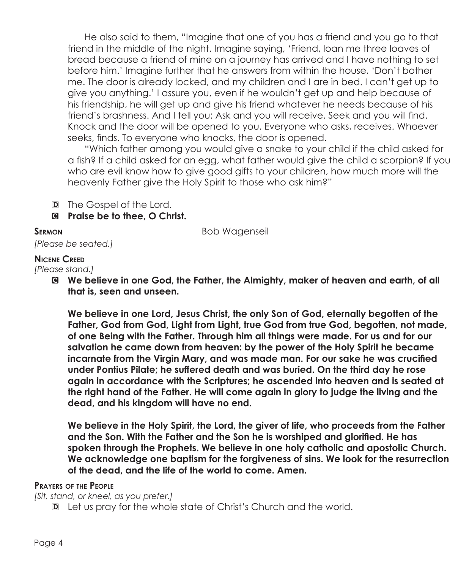He also said to them, "Imagine that one of you has a friend and you go to that friend in the middle of the night. Imagine saying, 'Friend, loan me three loaves of bread because a friend of mine on a journey has arrived and I have nothing to set before him.' Imagine further that he answers from within the house, 'Don't bother me. The door is already locked, and my children and I are in bed. I can't get up to give you anything.' I assure you, even if he wouldn't get up and help because of his friendship, he will get up and give his friend whatever he needs because of his friend's brashness. And I tell you: Ask and you will receive. Seek and you will find. Knock and the door will be opened to you. Everyone who asks, receives. Whoever seeks, finds. To everyone who knocks, the door is opened.

 "Which father among you would give a snake to your child if the child asked for a fish? If a child asked for an egg, what father would give the child a scorpion? If you who are evil know how to give good gifts to your children, how much more will the heavenly Father give the Holy Spirit to those who ask him?"

- D The Gospel of the Lord.
- C **Praise be to thee, O Christ.**

**SERMON Bob Wagenseil** 

#### *[Please be seated.]*

#### **Nicene Creed**

#### *[Please stand.]*

C **We believe in one God, the Father, the Almighty, maker of heaven and earth, of all that is, seen and unseen.** 

 **We believe in one Lord, Jesus Christ, the only Son of God, eternally begotten of the Father, God from God, Light from Light, true God from true God, begotten, not made, of one Being with the Father. Through him all things were made. For us and for our salvation he came down from heaven: by the power of the Holy Spirit he became incarnate from the Virgin Mary, and was made man. For our sake he was crucified under Pontius Pilate; he suffered death and was buried. On the third day he rose again in accordance with the Scriptures; he ascended into heaven and is seated at the right hand of the Father. He will come again in glory to judge the living and the dead, and his kingdom will have no end.**

 **We believe in the Holy Spirit, the Lord, the giver of life, who proceeds from the Father and the Son. With the Father and the Son he is worshiped and glorified. He has spoken through the Prophets. We believe in one holy catholic and apostolic Church. We acknowledge one baptism for the forgiveness of sins. We look for the resurrection of the dead, and the life of the world to come. Amen.**

#### **Prayers of the People**

*[Sit, stand, or kneel, as you prefer.]*

D Let us pray for the whole state of Christ's Church and the world.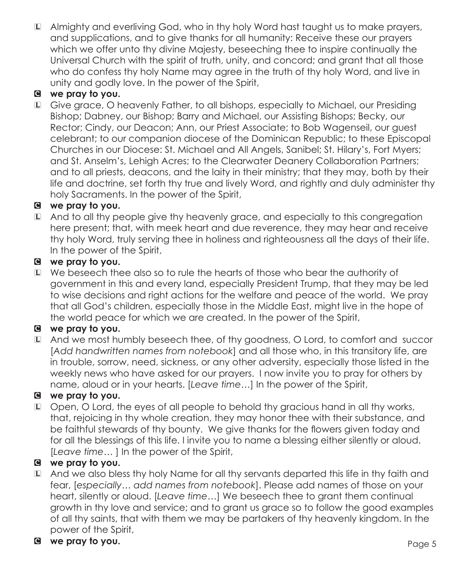L Almighty and everliving God, who in thy holy Word hast taught us to make prayers, and supplications, and to give thanks for all humanity: Receive these our prayers which we offer unto thy divine Majesty, beseeching thee to inspire continually the Universal Church with the spirit of truth, unity, and concord; and grant that all those who do confess thy holy Name may agree in the truth of thy holy Word, and live in unity and godly love. In the power of the Spirit,

## C **we pray to you.**

L Give grace, O heavenly Father, to all bishops, especially to Michael, our Presiding Bishop; Dabney, our Bishop; Barry and Michael, our Assisting Bishops; Becky, our Rector; Cindy, our Deacon; Ann, our Priest Associate; to Bob Wagenseil, our guest celebrant; to our companion diocese of the Dominican Republic; to these Episcopal Churches in our Diocese: St. Michael and All Angels, Sanibel; St. Hilary's, Fort Myers; and St. Anselm's, Lehigh Acres; to the Clearwater Deanery Collaboration Partners; and to all priests, deacons, and the laity in their ministry; that they may, both by their life and doctrine, set forth thy true and lively Word, and rightly and duly administer thy holy Sacraments. In the power of the Spirit,

## C **we pray to you.**

L And to all thy people give thy heavenly grace, and especially to this congregation here present; that, with meek heart and due reverence, they may hear and receive thy holy Word, truly serving thee in holiness and righteousness all the days of their life. In the power of the Spirit,

## C **we pray to you.**

L We beseech thee also so to rule the hearts of those who bear the authority of government in this and every land, especially President Trump, that they may be led to wise decisions and right actions for the welfare and peace of the world. We pray that all God's children, especially those in the Middle East, might live in the hope of the world peace for which we are created. In the power of the Spirit,

## C **we pray to you.**

L And we most humbly beseech thee, of thy goodness, O Lord, to comfort and succor [*Add handwritten names from notebook*] and all those who, in this transitory life, are in trouble, sorrow, need, sickness, or any other adversity, especially those listed in the weekly news who have asked for our prayers. I now invite you to pray for others by name, aloud or in your hearts. [*Leave time…*] In the power of the Spirit,

## C **we pray to you.**

L Open, O Lord, the eyes of all people to behold thy gracious hand in all thy works, that, rejoicing in thy whole creation, they may honor thee with their substance, and be faithful stewards of thy bounty. We give thanks for the flowers given today and for all the blessings of this life. I invite you to name a blessing either silently or aloud. [*Leave time…* ] In the power of the Spirit,

## C **we pray to you.**

L And we also bless thy holy Name for all thy servants departed this life in thy faith and fear, [*especially… add names from notebook*]. Please add names of those on your heart, silently or aloud. [*Leave time…*] We beseech thee to grant them continual growth in thy love and service; and to grant us grace so to follow the good examples of all thy saints, that with them we may be partakers of thy heavenly kingdom. In the power of the Spirit,

## C **we pray to you.**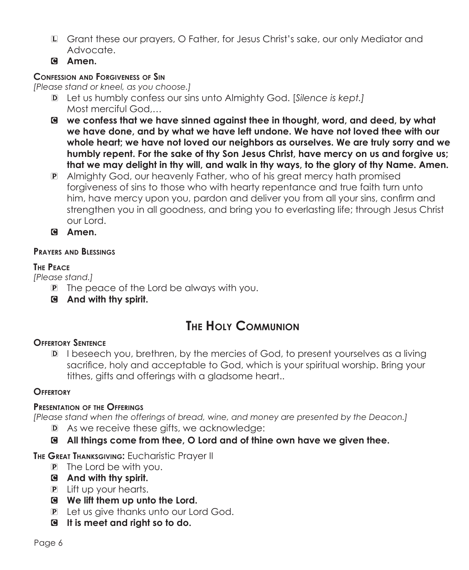- L Grant these our prayers, O Father, for Jesus Christ's sake, our only Mediator and Advocate.
- C **Amen.**

## **Confession and Forgiveness of Sin**

*[Please stand or kneel, as you choose.]*

- D Let us humbly confess our sins unto Almighty God. [*Silence is kept.]* Most merciful God,*…*
- C **we confess that we have sinned against thee in thought, word, and deed, by what we have done, and by what we have left undone. We have not loved thee with our whole heart; we have not loved our neighbors as ourselves. We are truly sorry and we humbly repent. For the sake of thy Son Jesus Christ, have mercy on us and forgive us; that we may delight in thy will, and walk in thy ways, to the glory of thy Name. Amen.**
- P Almighty God, our heavenly Father, who of his great mercy hath promised forgiveness of sins to those who with hearty repentance and true faith turn unto him, have mercy upon you, pardon and deliver you from all your sins, confirm and strengthen you in all goodness, and bring you to everlasting life; through Jesus Christ our Lord.
- C **Amen.**

#### **Prayers and Blessings**

## **The Peace**

*[Please stand.]*

- P The peace of the Lord be always with you.
- C **And with thy spirit.**

## **The Holy Communion**

## **Offertory Sentence**

D I beseech you, brethren, by the mercies of God, to present yourselves as a living sacrifice, holy and acceptable to God, which is your spiritual worship. Bring your tithes, gifts and offerings with a gladsome heart..

## **Offertory**

## **Presentation of the Offerings**

*[Please stand when the offerings of bread, wine, and money are presented by the Deacon.]*

D As we receive these gifts, we acknowledge:

## C **All things come from thee, O Lord and of thine own have we given thee.**

**The Great Thanksgiving:** Eucharistic Prayer II

- P The Lord be with you.
- C **And with thy spirit.**
- P Lift up your hearts.
- C **We lift them up unto the Lord.**
- P Let us give thanks unto our Lord God.
- C **It is meet and right so to do.**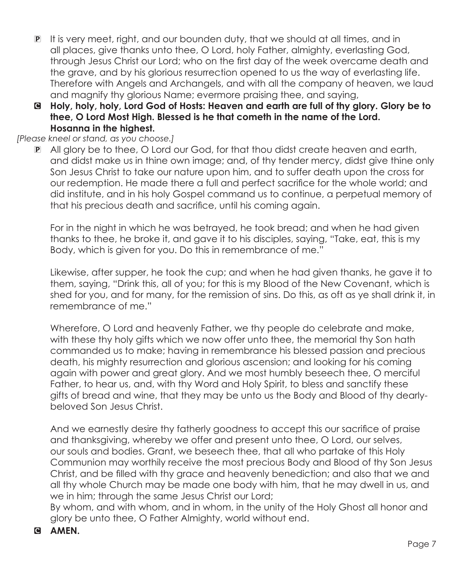- P It is very meet, right, and our bounden duty, that we should at all times, and in all places, give thanks unto thee, O Lord, holy Father, almighty, everlasting God, through Jesus Christ our Lord; who on the first day of the week overcame death and the grave, and by his glorious resurrection opened to us the way of everlasting life. Therefore with Angels and Archangels, and with all the company of heaven, we laud and magnify thy glorious Name; evermore praising thee, and saying,
- C **Holy, holy, holy, Lord God of Hosts: Heaven and earth are full of thy glory. Glory be to thee, O Lord Most High. Blessed is he that cometh in the name of the Lord. Hosanna in the highest.**

*[Please kneel or stand, as you choose.]*

P All glory be to thee, O Lord our God, for that thou didst create heaven and earth, and didst make us in thine own image; and, of thy tender mercy, didst give thine only Son Jesus Christ to take our nature upon him, and to suffer death upon the cross for our redemption. He made there a full and perfect sacrifice for the whole world; and did institute, and in his holy Gospel command us to continue, a perpetual memory of that his precious death and sacrifice, until his coming again.

For in the night in which he was betrayed, he took bread; and when he had given thanks to thee, he broke it, and gave it to his disciples, saying, "Take, eat, this is my Body, which is given for you. Do this in remembrance of me."

 Likewise, after supper, he took the cup; and when he had given thanks, he gave it to them, saying, "Drink this, all of you; for this is my Blood of the New Covenant, which is shed for you, and for many, for the remission of sins. Do this, as oft as ye shall drink it, in remembrance of me."

Wherefore, O Lord and heavenly Father, we thy people do celebrate and make, with these thy holy gifts which we now offer unto thee, the memorial thy Son hath commanded us to make; having in remembrance his blessed passion and precious death, his mighty resurrection and glorious ascension; and looking for his coming again with power and great glory. And we most humbly beseech thee, O merciful Father, to hear us, and, with thy Word and Holy Spirit, to bless and sanctify these gifts of bread and wine, that they may be unto us the Body and Blood of thy dearlybeloved Son Jesus Christ.

And we earnestly desire thy fatherly goodness to accept this our sacrifice of praise and thanksgiving, whereby we offer and present unto thee, O Lord, our selves, our souls and bodies. Grant, we beseech thee, that all who partake of this Holy Communion may worthily receive the most precious Body and Blood of thy Son Jesus Christ, and be filled with thy grace and heavenly benediction; and also that we and all thy whole Church may be made one body with him, that he may dwell in us, and we in him; through the same Jesus Christ our Lord;

By whom, and with whom, and in whom, in the unity of the Holy Ghost all honor and glory be unto thee, O Father Almighty, world without end.

## G AMEN.